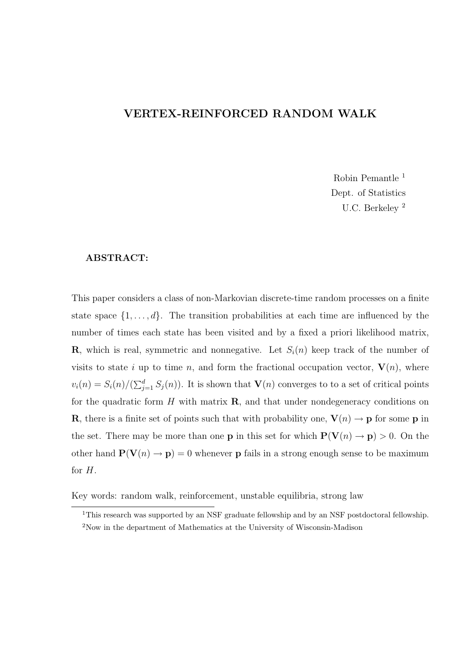#### VERTEX-REINFORCED RANDOM WALK

Robin Pemantle <sup>1</sup> Dept. of Statistics U.C. Berkeley <sup>2</sup>

#### ABSTRACT:

This paper considers a class of non-Markovian discrete-time random processes on a finite state space  $\{1, \ldots, d\}$ . The transition probabilities at each time are influenced by the number of times each state has been visited and by a fixed a priori likelihood matrix, **R**, which is real, symmetric and nonnegative. Let  $S_i(n)$  keep track of the number of visits to state i up to time n, and form the fractional occupation vector,  $V(n)$ , where  $v_i(n) = S_i(n)/(\sum_{j=1}^d S_j(n))$ . It is shown that  $\mathbf{V}(n)$  converges to to a set of critical points for the quadratic form  $H$  with matrix  $\bf{R}$ , and that under nondegeneracy conditions on **R**, there is a finite set of points such that with probability one,  $V(n) \rightarrow p$  for some p in the set. There may be more than one **p** in this set for which  $P(V(n) \rightarrow p) > 0$ . On the other hand  $\mathbf{P}(\mathbf{V}(n) \to \mathbf{p}) = 0$  whenever **p** fails in a strong enough sense to be maximum for H.

Key words: random walk, reinforcement, unstable equilibria, strong law

<sup>&</sup>lt;sup>1</sup>This research was supported by an NSF graduate fellowship and by an NSF postdoctoral fellowship.

<sup>2</sup>Now in the department of Mathematics at the University of Wisconsin-Madison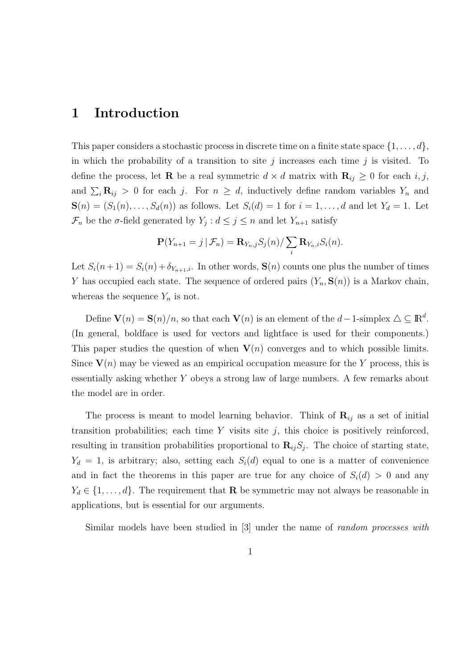### 1 Introduction

This paper considers a stochastic process in discrete time on a finite state space  $\{1, \ldots, d\}$ , in which the probability of a transition to site j increases each time j is visited. To define the process, let **R** be a real symmetric  $d \times d$  matrix with  $\mathbf{R}_{ij} \geq 0$  for each i, j, and  $\sum_i \mathbf{R}_{ij} > 0$  for each j. For  $n \geq d$ , inductively define random variables  $Y_n$  and  $\mathbf{S}(n) = (S_1(n), \ldots, S_d(n))$  as follows. Let  $S_i(d) = 1$  for  $i = 1, \ldots, d$  and let  $Y_d = 1$ . Let  $\mathcal{F}_n$  be the  $\sigma$ -field generated by  $Y_j : d \leq j \leq n$  and let  $Y_{n+1}$  satisfy

$$
\mathbf{P}(Y_{n+1}=j\,|\,\mathcal{F}_n)=\mathbf{R}_{Y_n,j}S_j(n)/\sum_i\mathbf{R}_{Y_n,i}S_i(n).
$$

Let  $S_i(n+1) = S_i(n) + \delta_{Y_{n+1},i}$ . In other words,  $S(n)$  counts one plus the number of times Y has occupied each state. The sequence of ordered pairs  $(Y_n, S(n))$  is a Markov chain, whereas the sequence  $Y_n$  is not.

Define  $\mathbf{V}(n) = \mathbf{S}(n)/n$ , so that each  $\mathbf{V}(n)$  is an element of the  $d-1$ -simplex  $\Delta \subseteq \mathbb{R}^d$ . (In general, boldface is used for vectors and lightface is used for their components.) This paper studies the question of when  $V(n)$  converges and to which possible limits. Since  $V(n)$  may be viewed as an empirical occupation measure for the Y process, this is essentially asking whether Y obeys a strong law of large numbers. A few remarks about the model are in order.

The process is meant to model learning behavior. Think of  $\mathbf{R}_{ij}$  as a set of initial transition probabilities; each time  $Y$  visits site  $j$ , this choice is positively reinforced, resulting in transition probabilities proportional to  $\mathbf{R}_{ij}S_j$ . The choice of starting state,  $Y_d = 1$ , is arbitrary; also, setting each  $S_i(d)$  equal to one is a matter of convenience and in fact the theorems in this paper are true for any choice of  $S_i(d) > 0$  and any  $Y_d \in \{1, \ldots, d\}$ . The requirement that **R** be symmetric may not always be reasonable in applications, but is essential for our arguments.

Similar models have been studied in [3] under the name of random processes with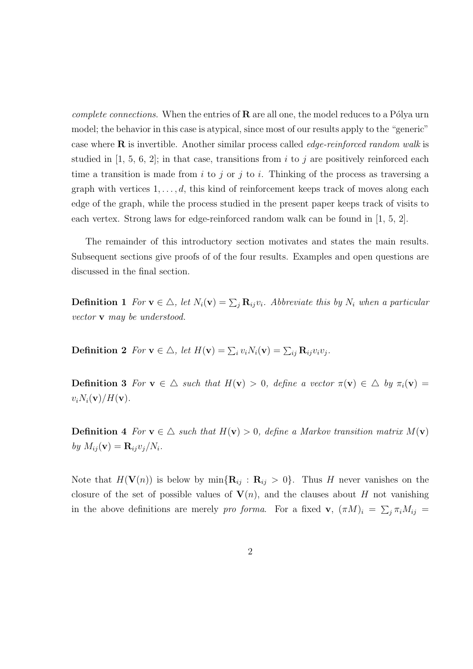*complete connections.* When the entries of  $\bf{R}$  are all one, the model reduces to a Pólya urn model; the behavior in this case is atypical, since most of our results apply to the "generic" case where  $\bf{R}$  is invertible. Another similar process called *edge-reinforced random walk* is studied in  $[1, 5, 6, 2]$ ; in that case, transitions from i to j are positively reinforced each time a transition is made from i to j or j to i. Thinking of the process as traversing a graph with vertices  $1, \ldots, d$ , this kind of reinforcement keeps track of moves along each edge of the graph, while the process studied in the present paper keeps track of visits to each vertex. Strong laws for edge-reinforced random walk can be found in [1, 5, 2].

The remainder of this introductory section motivates and states the main results. Subsequent sections give proofs of of the four results. Examples and open questions are discussed in the final section.

**Definition 1** For  $\mathbf{v} \in \Delta$ , let  $N_i(\mathbf{v}) = \sum_j \mathbf{R}_{ij} v_i$ . Abbreviate this by  $N_i$  when a particular vector v may be understood.

**Definition 2** For  $\mathbf{v} \in \Delta$ , let  $H(\mathbf{v}) = \sum_i v_i N_i(\mathbf{v}) = \sum_{ij} \mathbf{R}_{ij} v_i v_j$ .

**Definition 3** For  $\mathbf{v} \in \Delta$  such that  $H(\mathbf{v}) > 0$ , define a vector  $\pi(\mathbf{v}) \in \Delta$  by  $\pi_i(\mathbf{v}) =$  $v_iN_i(\mathbf{v})/H(\mathbf{v}).$ 

**Definition 4** For  $\mathbf{v} \in \Delta$  such that  $H(\mathbf{v}) > 0$ , define a Markov transition matrix  $M(\mathbf{v})$ by  $M_{ij}(\mathbf{v}) = \mathbf{R}_{ij}v_j/N_i$ .

Note that  $H(\mathbf{V}(n))$  is below by  $\min\{\mathbf{R}_{ij} : \mathbf{R}_{ij} > 0\}$ . Thus H never vanishes on the closure of the set of possible values of  $V(n)$ , and the clauses about H not vanishing in the above definitions are merely pro forma. For a fixed  $\mathbf{v}$ ,  $(\pi M)_i = \sum_j \pi_i M_{ij} =$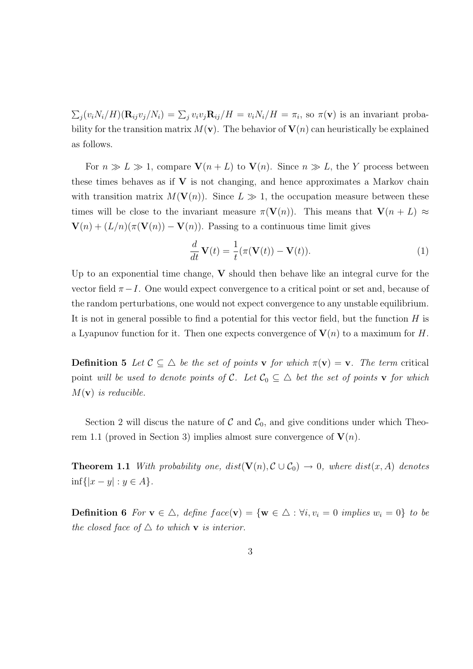$\sum_j (v_i N_i/H)(\mathbf{R}_{ij}v_j/N_i) = \sum_j v_i v_j \mathbf{R}_{ij}/H = v_i N_i/H = \pi_i$ , so  $\pi(\mathbf{v})$  is an invariant probability for the transition matrix  $M(\mathbf{v})$ . The behavior of  $\mathbf{V}(n)$  can heuristically be explained as follows.

For  $n \gg L \gg 1$ , compare  $\mathbf{V}(n + L)$  to  $\mathbf{V}(n)$ . Since  $n \gg L$ , the Y process between these times behaves as if  $V$  is not changing, and hence approximates a Markov chain with transition matrix  $M(\mathbf{V}(n))$ . Since  $L \gg 1$ , the occupation measure between these times will be close to the invariant measure  $\pi(\mathbf{V}(n))$ . This means that  $\mathbf{V}(n+L) \approx$  $\mathbf{V}(n) + (L/n)(\pi(\mathbf{V}(n)) - \mathbf{V}(n))$ . Passing to a continuous time limit gives

$$
\frac{d}{dt}\mathbf{V}(t) = \frac{1}{t}(\pi(\mathbf{V}(t)) - \mathbf{V}(t)).
$$
\n(1)

Up to an exponential time change,  $V$  should then behave like an integral curve for the vector field  $\pi-I$ . One would expect convergence to a critical point or set and, because of the random perturbations, one would not expect convergence to any unstable equilibrium. It is not in general possible to find a potential for this vector field, but the function  $H$  is a Lyapunov function for it. Then one expects convergence of  $V(n)$  to a maximum for H.

**Definition 5** Let  $\mathcal{C} \subseteq \Delta$  be the set of points **v** for which  $\pi(\mathbf{v}) = \mathbf{v}$ . The term critical point will be used to denote points of C. Let  $C_0 \subseteq \triangle$  bet the set of points **v** for which  $M(\mathbf{v})$  is reducible.

Section 2 will discus the nature of  $\mathcal C$  and  $\mathcal C_0$ , and give conditions under which Theorem 1.1 (proved in Section 3) implies almost sure convergence of  $V(n)$ .

**Theorem 1.1** With probability one,  $dist(\mathbf{V}(n), \mathcal{C} \cup \mathcal{C}_0) \rightarrow 0$ , where  $dist(x, A)$  denotes inf{ $|x - y|$  : *y* ∈ *A*}.

**Definition 6** For  $\mathbf{v} \in \Delta$ , define  $face(\mathbf{v}) = {\mathbf{w} \in \Delta : \forall i, v_i = 0 \text{ implies } w_i = 0}$  to be the closed face of  $\triangle$  to which **v** is interior.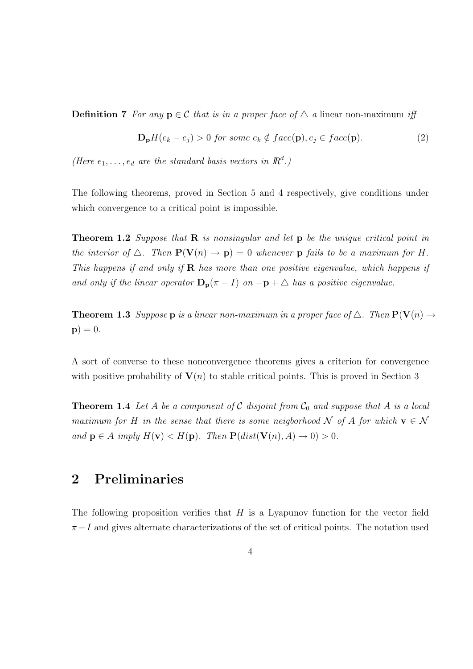**Definition 7** For any  $p \in C$  that is in a proper face of  $\triangle$  a linear non-maximum iff

$$
\mathbf{D}_{\mathbf{p}}H(e_k - e_j) > 0 \text{ for some } e_k \notin face(\mathbf{p}), e_j \in face(\mathbf{p}).
$$
\n(2)

(Here  $e_1, \ldots, e_d$  are the standard basis vectors in  $\mathbb{R}^d$ .)

The following theorems, proved in Section 5 and 4 respectively, give conditions under which convergence to a critical point is impossible.

**Theorem 1.2** Suppose that  $\bf{R}$  is nonsingular and let  $\bf{p}$  be the unique critical point in the interior of  $\Delta$ . Then  $\mathbf{P}(\mathbf{V}(n) \to \mathbf{p}) = 0$  whenever  $\mathbf{p}$  fails to be a maximum for H. This happens if and only if  $\bf{R}$  has more than one positive eigenvalue, which happens if and only if the linear operator  $\mathbf{D}_{p}(\pi - I)$  on  $-p + \triangle$  has a positive eigenvalue.

**Theorem 1.3** Suppose **p** is a linear non-maximum in a proper face of  $\Delta$ . Then  $\mathbf{P}(\mathbf{V}(n) \rightarrow$  $\mathbf{p}$ ) = 0.

A sort of converse to these nonconvergence theorems gives a criterion for convergence with positive probability of  $V(n)$  to stable critical points. This is proved in Section 3

**Theorem 1.4** Let A be a component of C disjoint from  $C_0$  and suppose that A is a local maximum for H in the sense that there is some neigborhood N of A for which  $\mathbf{v} \in \mathcal{N}$ and  $p \in A$  imply  $H(\mathbf{v}) < H(p)$ . Then  $P(dist(\mathbf{V}(n), A) \to 0) > 0$ .

# 2 Preliminaries

The following proposition verifies that  $H$  is a Lyapunov function for the vector field  $\pi-I$  and gives alternate characterizations of the set of critical points. The notation used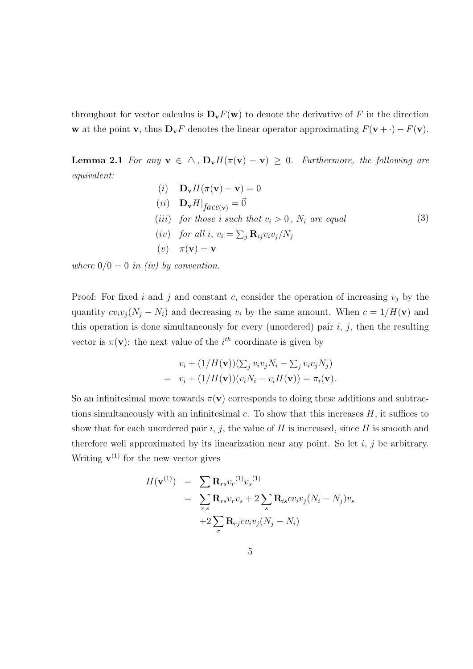throughout for vector calculus is  $\mathbf{D}_{\mathbf{v}}F(\mathbf{w})$  to denote the derivative of F in the direction w at the point v, thus  $\mathbf{D}_{\mathbf{v}}F$  denotes the linear operator approximating  $F(\mathbf{v} + \cdot) - F(\mathbf{v})$ .

**Lemma 2.1** For any  $\mathbf{v} \in \Delta$ ,  $\mathbf{D}_{\mathbf{v}}H(\pi(\mathbf{v}) - \mathbf{v}) \geq 0$ . Furthermore, the following are equivalent:

> (i)  $\mathbf{D}_{\mathbf{v}}H(\pi(\mathbf{v}) - \mathbf{v}) = 0$ (*ii*)  $\mathbf{D}_{\mathbf{v}} H|_{face(\mathbf{v})} = \vec{0}$ (iii) for those i such that  $v_i > 0$ ,  $N_i$  are equal (iv) for all i,  $v_i = \sum_j \mathbf{R}_{ij} v_i v_j / N_j$  $(v)$   $\pi(\mathbf{v}) = \mathbf{v}$ (3)

where  $0/0 = 0$  in (iv) by convention.

Proof: For fixed i and j and constant c, consider the operation of increasing  $v_j$  by the quantity  $cv_iv_j(N_j - N_i)$  and decreasing  $v_i$  by the same amount. When  $c = 1/H(v)$  and this operation is done simultaneously for every (unordered) pair  $i, j$ , then the resulting vector is  $\pi(\mathbf{v})$ : the next value of the *i*<sup>th</sup> coordinate is given by

$$
v_i + (1/H(\mathbf{v}))(\sum_j v_i v_j N_i - \sum_j v_i v_j N_j)
$$
  
= 
$$
v_i + (1/H(\mathbf{v}))(\nu_i N_i - v_i H(\mathbf{v})) = \pi_i(\mathbf{v}).
$$

So an infinitesimal move towards  $\pi(\mathbf{v})$  corresponds to doing these additions and subtractions simultaneously with an infinitesimal  $c$ . To show that this increases  $H$ , it suffices to show that for each unordered pair i, j, the value of H is increased, since H is smooth and therefore well approximated by its linearization near any point. So let  $i, j$  be arbitrary. Writing  $\mathbf{v}^{(1)}$  for the new vector gives

$$
H(\mathbf{v}^{(1)}) = \sum_{r,s} \mathbf{R}_{rs} v_r^{(1)} v_s^{(1)}
$$
  
= 
$$
\sum_{r,s} \mathbf{R}_{rs} v_r v_s + 2 \sum_s \mathbf{R}_{is} c v_i v_j (N_i - N_j) v_s
$$
  
+ 
$$
2 \sum_r \mathbf{R}_{rj} c v_i v_j (N_j - N_i)
$$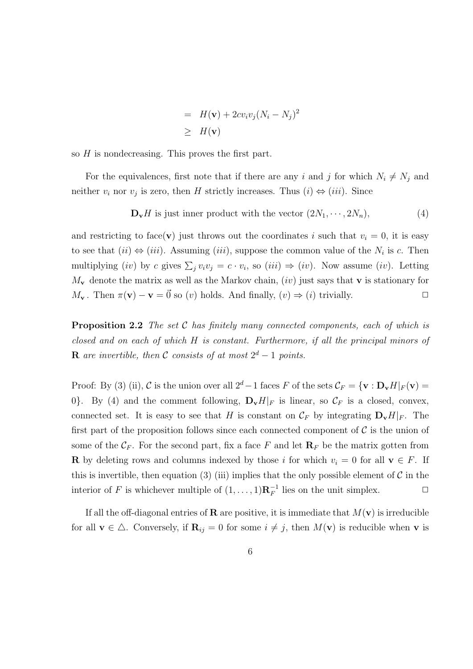$$
= H(\mathbf{v}) + 2cv_iv_j(N_i - N_j)^2
$$
  

$$
\geq H(\mathbf{v})
$$

so  $H$  is nondecreasing. This proves the first part.

For the equivalences, first note that if there are any i and j for which  $N_i \neq N_j$  and neither  $v_i$  nor  $v_j$  is zero, then H strictly increases. Thus  $(i) \Leftrightarrow (iii)$ . Since

$$
\mathbf{D}_{\mathbf{v}}H \text{ is just inner product with the vector } (2N_1, \cdots, 2N_n), \tag{4}
$$

and restricting to face(v) just throws out the coordinates i such that  $v_i = 0$ , it is easy to see that  $(ii) \Leftrightarrow (iii)$ . Assuming  $(iii)$ , suppose the common value of the  $N_i$  is c. Then multiplying (iv) by c gives  $\sum_j v_i v_j = c \cdot v_i$ , so (iii)  $\Rightarrow$  (iv). Now assume (iv). Letting  $M_{\mathbf{v}}$  denote the matrix as well as the Markov chain, *(iv)* just says that **v** is stationary for  $M_{\mathbf{v}}$ . Then  $\pi(\mathbf{v}) - \mathbf{v} = \vec{0}$  so  $(v)$  holds. And finally,  $(v) \Rightarrow (i)$  trivially.

**Proposition 2.2** The set  $C$  has finitely many connected components, each of which is closed and on each of which H is constant. Furthermore, if all the principal minors of **R** are invertible, then C consists of at most  $2^d - 1$  points.

Proof: By (3) (ii), C is the union over all  $2^d-1$  faces F of the sets  $\mathcal{C}_F = \{v : D_v H|_F(v) =$ 0. By (4) and the comment following,  $\mathbf{D}_{\mathbf{v}}H|_F$  is linear, so  $\mathcal{C}_F$  is a closed, convex, connected set. It is easy to see that H is constant on  $\mathcal{C}_F$  by integrating  $\mathbf{D}_v H|_F$ . The first part of the proposition follows since each connected component of  $\mathcal C$  is the union of some of the  $\mathcal{C}_F$ . For the second part, fix a face F and let  $\mathbf{R}_F$  be the matrix gotten from **R** by deleting rows and columns indexed by those i for which  $v_i = 0$  for all  $\mathbf{v} \in F$ . If this is invertible, then equation (3) (iii) implies that the only possible element of  $\mathcal C$  in the interior of F is whichever multiple of  $(1, \ldots, 1)$ **R**<sup> $-1$ </sup> lies on the unit simplex.  $\Box$ 

If all the off-diagonal entries of **R** are positive, it is immediate that  $M(\mathbf{v})$  is irreducible for all  $\mathbf{v} \in \Delta$ . Conversely, if  $\mathbf{R}_{ij} = 0$  for some  $i \neq j$ , then  $M(\mathbf{v})$  is reducible when  $\mathbf{v}$  is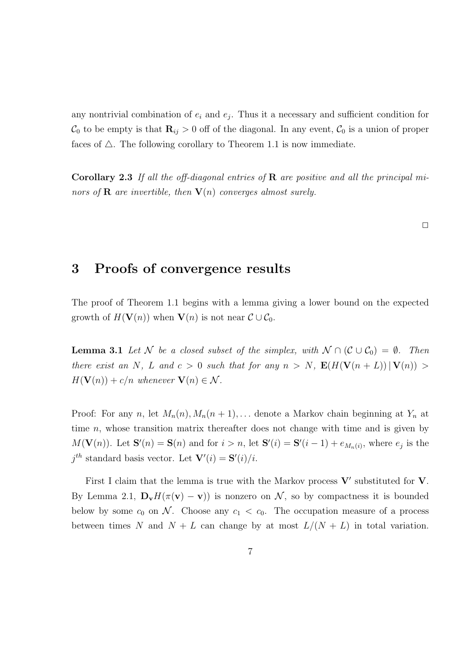any nontrivial combination of  $e_i$  and  $e_j$ . Thus it a necessary and sufficient condition for  $\mathcal{C}_0$  to be empty is that  $\mathbf{R}_{ij} > 0$  off of the diagonal. In any event,  $\mathcal{C}_0$  is a union of proper faces of  $\triangle$ . The following corollary to Theorem 1.1 is now immediate.

**Corollary 2.3** If all the off-diagonal entries of  $\bf{R}$  are positive and all the principal minors of **R** are invertible, then  $V(n)$  converges almost surely.

 $\Box$ 

#### 3 Proofs of convergence results

The proof of Theorem 1.1 begins with a lemma giving a lower bound on the expected growth of  $H(\mathbf{V}(n))$  when  $\mathbf{V}(n)$  is not near  $\mathcal{C} \cup \mathcal{C}_0$ .

**Lemma 3.1** Let N be a closed subset of the simplex, with  $N \cap (\mathcal{C} \cup \mathcal{C}_0) = \emptyset$ . Then there exist an N, L and  $c > 0$  such that for any  $n > N$ ,  $\mathbf{E}(H(\mathbf{V}(n+L)) | \mathbf{V}(n)) >$  $H(\mathbf{V}(n)) + c/n$  whenever  $\mathbf{V}(n) \in \mathcal{N}$ .

Proof: For any n, let  $M_n(n)$ ,  $M_n(n + 1)$ ,... denote a Markov chain beginning at  $Y_n$  at time  $n$ , whose transition matrix thereafter does not change with time and is given by  $M(\mathbf{V}(n))$ . Let  $\mathbf{S}'(n) = \mathbf{S}(n)$  and for  $i > n$ , let  $\mathbf{S}'(i) = \mathbf{S}'(i-1) + e_{M_n(i)}$ , where  $e_j$  is the  $j^{th}$  standard basis vector. Let  $\mathbf{V}'(i) = \mathbf{S}'(i)/i$ .

First I claim that the lemma is true with the Markov process  $V'$  substituted for  $V$ . By Lemma 2.1,  $\mathbf{D}_{\mathbf{v}}H(\pi(\mathbf{v}) - \mathbf{v})$  is nonzero on N, so by compactness it is bounded below by some  $c_0$  on N. Choose any  $c_1 < c_0$ . The occupation measure of a process between times N and  $N + L$  can change by at most  $L/(N + L)$  in total variation.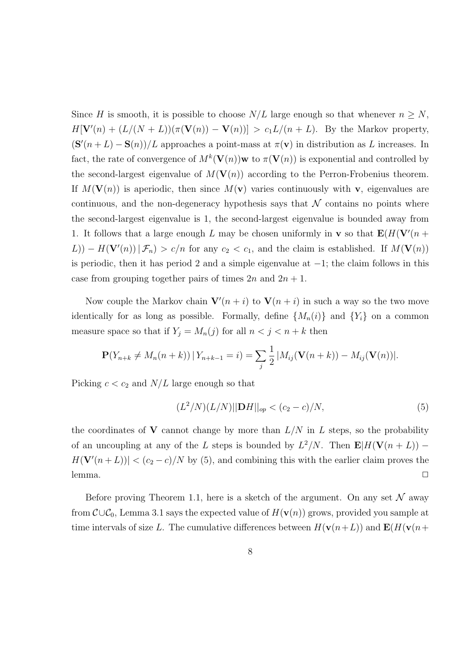Since H is smooth, it is possible to choose  $N/L$  large enough so that whenever  $n \geq N$ ,  $H[\mathbf{V}'(n) + (L/(N+L))(\pi(\mathbf{V}(n)) - \mathbf{V}(n))] > c_1L/(n+L)$ . By the Markov property,  $(\mathbf{S}'(n+L) - \mathbf{S}(n))/L$  approaches a point-mass at  $\pi(\mathbf{v})$  in distribution as L increases. In fact, the rate of convergence of  $M^k(\mathbf{V}(n))$  w to  $\pi(\mathbf{V}(n))$  is exponential and controlled by the second-largest eigenvalue of  $M(V(n))$  according to the Perron-Frobenius theorem. If  $M(\mathbf{V}(n))$  is aperiodic, then since  $M(\mathbf{v})$  varies continuously with v, eigenvalues are continuous, and the non-degeneracy hypothesis says that  $N$  contains no points where the second-largest eigenvalue is 1, the second-largest eigenvalue is bounded away from 1. It follows that a large enough L may be chosen uniformly in **v** so that  $\mathbf{E}(H(\mathbf{V}'(n +$  $L$ )) –  $H(\mathbf{V}'(n)) | \mathcal{F}_n$ ) >  $c/n$  for any  $c_2 < c_1$ , and the claim is established. If  $M(\mathbf{V}(n))$ is periodic, then it has period 2 and a simple eigenvalue at −1; the claim follows in this case from grouping together pairs of times  $2n$  and  $2n + 1$ .

Now couple the Markov chain  $\mathbf{V}'(n+i)$  to  $\mathbf{V}(n+i)$  in such a way so the two move identically for as long as possible. Formally, define  $\{M_n(i)\}\$  and  $\{Y_i\}$  on a common measure space so that if  $Y_j = M_n(j)$  for all  $n < j < n + k$  then

$$
\mathbf{P}(Y_{n+k} \neq M_n(n+k)) | Y_{n+k-1} = i) = \sum_j \frac{1}{2} |M_{ij}(\mathbf{V}(n+k)) - M_{ij}(\mathbf{V}(n))|.
$$

Picking  $c < c_2$  and  $N/L$  large enough so that

$$
(L^2/N)(L/N)||DH||_{op} < (c_2 - c)/N,
$$
\n(5)

the coordinates of V cannot change by more than  $L/N$  in L steps, so the probability of an uncoupling at any of the L steps is bounded by  $L^2/N$ . Then  $\mathbf{E}|H(\mathbf{V}(n+L))$  –  $H(\mathbf{V}'(n+L))| < (c_2 - c)/N$  by (5), and combining this with the earlier claim proves the lemma.  $\Box$ 

Before proving Theorem 1.1, here is a sketch of the argument. On any set  $\mathcal N$  away from  $\mathcal{C}\cup\mathcal{C}_0$ , Lemma 3.1 says the expected value of  $H(\mathbf{v}(n))$  grows, provided you sample at time intervals of size L. The cumulative differences between  $H(\mathbf{v}(n+L))$  and  $\mathbf{E}(H(\mathbf{v}(n+L)))$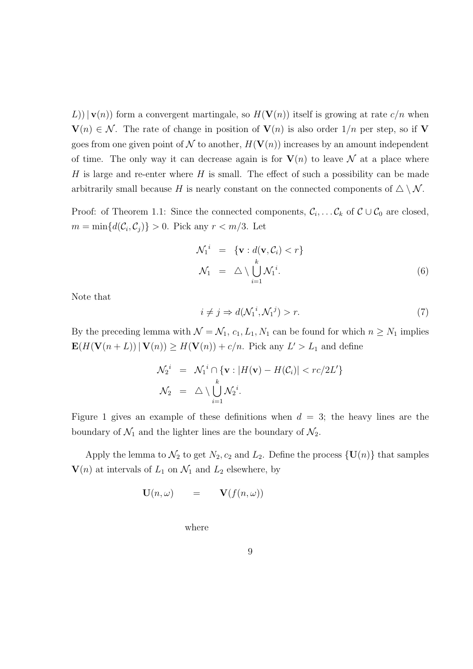L))  $|{\bf v}(n)|$  form a convergent martingale, so  $H({\bf V}(n))$  itself is growing at rate  $c/n$  when  $\mathbf{V}(n) \in \mathcal{N}$ . The rate of change in position of  $\mathbf{V}(n)$  is also order  $1/n$  per step, so if V goes from one given point of N to another,  $H(V(n))$  increases by an amount independent of time. The only way it can decrease again is for  $V(n)$  to leave N at a place where H is large and re-enter where  $H$  is small. The effect of such a possibility can be made arbitrarily small because H is nearly constant on the connected components of  $\triangle \setminus \mathcal{N}$ .

Proof: of Theorem 1.1: Since the connected components,  $\mathcal{C}_i, \ldots \mathcal{C}_k$  of  $\mathcal{C} \cup \mathcal{C}_0$  are closed,  $m = \min\{d(\mathcal{C}_i, \mathcal{C}_j)\} > 0$ . Pick any  $r < m/3$ . Let

$$
\mathcal{N}_1^i = \{ \mathbf{v} : d(\mathbf{v}, \mathcal{C}_i) < r \}
$$
\n
$$
\mathcal{N}_1 = \triangle \setminus \bigcup_{i=1}^k \mathcal{N}_1^i. \tag{6}
$$

Note that

$$
i \neq j \Rightarrow d(\mathcal{N}_1^i, \mathcal{N}_1^j) > r. \tag{7}
$$

By the preceding lemma with  $\mathcal{N} = \mathcal{N}_1$ ,  $c_1, L_1, N_1$  can be found for which  $n \geq N_1$  implies  $\mathbf{E}(H(\mathbf{V}(n+L)) | \mathbf{V}(n)) \geq H(\mathbf{V}(n)) + c/n$ . Pick any  $L' > L_1$  and define

$$
\mathcal{N}_2^i = \mathcal{N}_1^i \cap \{ \mathbf{v} : |H(\mathbf{v}) - H(\mathcal{C}_i)| < rc/2L' \}
$$
\n
$$
\mathcal{N}_2 = \triangle \setminus \bigcup_{i=1}^k \mathcal{N}_2^i.
$$

Figure 1 gives an example of these definitions when  $d = 3$ ; the heavy lines are the boundary of  $\mathcal{N}_1$  and the lighter lines are the boundary of  $\mathcal{N}_2$ .

Apply the lemma to  $\mathcal{N}_2$  to get  $N_2$ ,  $c_2$  and  $L_2$ . Define the process  $\{U(n)\}\$  that samples  $\mathbf{V}(n)$  at intervals of  $L_1$  on  $\mathcal{N}_1$  and  $L_2$  elsewhere, by

$$
\mathbf{U}(n,\omega) \qquad = \qquad \mathbf{V}(f(n,\omega))
$$

where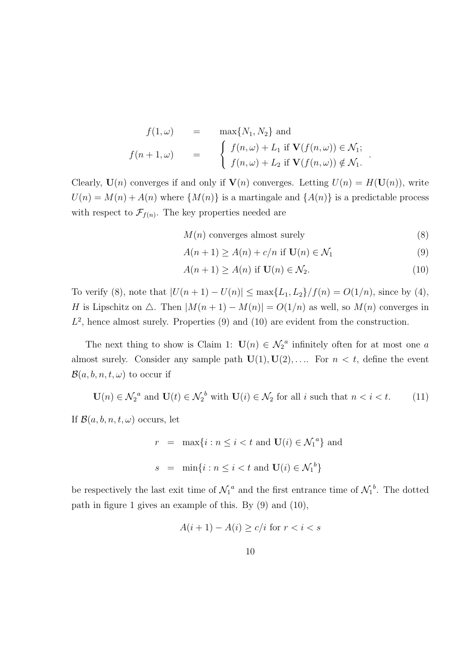$$
f(1,\omega) = \max\{N_1, N_2\} \text{ and}
$$
  

$$
f(n+1,\omega) = \begin{cases} f(n,\omega) + L_1 \text{ if } \mathbf{V}(f(n,\omega)) \in \mathcal{N}_1; \\ f(n,\omega) + L_2 \text{ if } \mathbf{V}(f(n,\omega)) \notin \mathcal{N}_1. \end{cases}
$$

Clearly,  $U(n)$  converges if and only if  $V(n)$  converges. Letting  $U(n) = H(U(n))$ , write  $U(n) = M(n) + A(n)$  where  $\{M(n)\}\$ is a martingale and  $\{A(n)\}\$ is a predictable process with respect to  $\mathcal{F}_{f(n)}$ . The key properties needed are

 $M(n)$  converges almost surely (8)

.

$$
A(n+1) \ge A(n) + c/n \text{ if } \mathbf{U}(n) \in \mathcal{N}_1
$$
\n
$$
(9)
$$

$$
A(n+1) \ge A(n) \text{ if } \mathbf{U}(n) \in \mathcal{N}_2. \tag{10}
$$

To verify (8), note that  $|U(n + 1) - U(n)| \le \max\{L_1, L_2\}/f(n) = O(1/n)$ , since by (4), H is Lipschitz on  $\triangle$ . Then  $|M(n + 1) - M(n)| = O(1/n)$  as well, so  $M(n)$  converges in  $L^2$ , hence almost surely. Properties  $(9)$  and  $(10)$  are evident from the construction.

The next thing to show is Claim 1:  $U(n) \in \mathcal{N}_2^a$  infinitely often for at most one a almost surely. Consider any sample path  $\mathbf{U}(1), \mathbf{U}(2), \ldots$  For  $n < t$ , define the event  $\mathcal{B}(a, b, n, t, \omega)$  to occur if

$$
\mathbf{U}(n) \in \mathcal{N}_2^a \text{ and } \mathbf{U}(t) \in \mathcal{N}_2^b \text{ with } \mathbf{U}(i) \in \mathcal{N}_2 \text{ for all } i \text{ such that } n < i < t. \tag{11}
$$

If  $\mathcal{B}(a, b, n, t, \omega)$  occurs, let

$$
r = \max\{i : n \le i < t \text{ and } \mathbf{U}(i) \in \mathcal{N}_1^a\} \text{ and}
$$
  

$$
s = \min\{i : n \le i < t \text{ and } \mathbf{U}(i) \in \mathcal{N}_1^b\}
$$

be respectively the last exit time of  $\mathcal{N}_1^a$  and the first entrance time of  $\mathcal{N}_1^b$ . The dotted path in figure 1 gives an example of this. By (9) and (10),

$$
A(i+1) - A(i) \ge c/i \text{ for } r < i < s
$$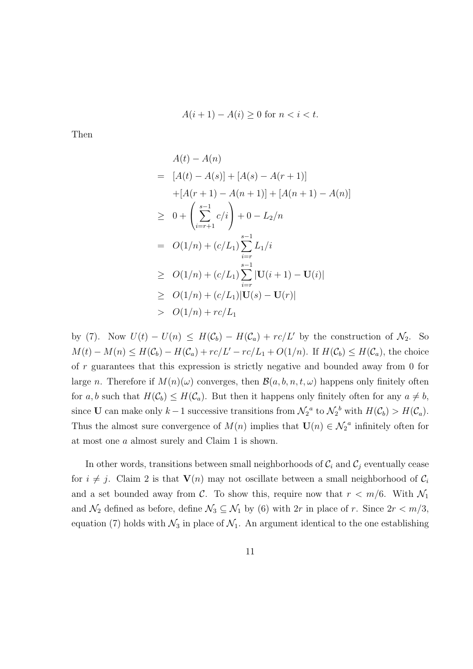$$
A(i+1) - A(i) \ge 0 \text{ for } n < i < t.
$$

Then

$$
A(t) - A(n)
$$
  
=  $[A(t) - A(s)] + [A(s) - A(r + 1)]$   
+  $[A(r + 1) - A(n + 1)] + [A(n + 1) - A(n)]$   
 $\geq 0 + \left(\sum_{i=r+1}^{s-1} c/i\right) + 0 - L_2/n$   
=  $O(1/n) + (c/L_1) \sum_{i=r}^{s-1} L_1/i$   
 $\geq O(1/n) + (c/L_1) \sum_{i=r}^{s-1} |\mathbf{U}(i + 1) - \mathbf{U}(i)|$   
 $\geq O(1/n) + (c/L_1)|\mathbf{U}(s) - \mathbf{U}(r)|$   
 $\geq O(1/n) + rc/L_1$ 

by (7). Now  $U(t) - U(n) \leq H(C_b) - H(C_a) + rc/L'$  by the construction of  $\mathcal{N}_2$ . So  $M(t) - M(n) \leq H(\mathcal{C}_b) - H(\mathcal{C}_a) + rc/L' - rc/L_1 + O(1/n)$ . If  $H(\mathcal{C}_b) \leq H(\mathcal{C}_a)$ , the choice of r guarantees that this expression is strictly negative and bounded away from 0 for large n. Therefore if  $M(n)(\omega)$  converges, then  $\mathcal{B}(a, b, n, t, \omega)$  happens only finitely often for a, b such that  $H(\mathcal{C}_b) \leq H(\mathcal{C}_a)$ . But then it happens only finitely often for any  $a \neq b$ , since U can make only  $k-1$  successive transitions from  $\mathcal{N}_2^a$  to  $\mathcal{N}_2^b$  with  $H(\mathcal{C}_b) > H(\mathcal{C}_a)$ . Thus the almost sure convergence of  $M(n)$  implies that  $\mathbf{U}(n) \in \mathcal{N}_2^a$  infinitely often for at most one a almost surely and Claim 1 is shown.

In other words, transitions between small neighborhoods of  $\mathcal{C}_i$  and  $\mathcal{C}_j$  eventually cease for  $i \neq j$ . Claim 2 is that  $V(n)$  may not oscillate between a small neighborhood of  $C_i$ and a set bounded away from C. To show this, require now that  $r < m/6$ . With  $\mathcal{N}_1$ and  $\mathcal{N}_2$  defined as before, define  $\mathcal{N}_3 \subseteq \mathcal{N}_1$  by (6) with 2r in place of r. Since  $2r < m/3$ , equation (7) holds with  $\mathcal{N}_3$  in place of  $\mathcal{N}_1$ . An argument identical to the one establishing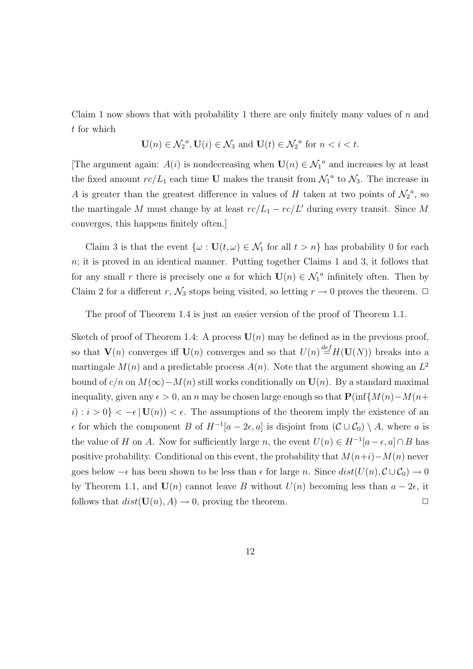Claim 1 now shows that with probability 1 there are only finitely many values of  $n$  and t for which

$$
\mathbf{U}(n) \in \mathcal{N}_2^a, \mathbf{U}(i) \in \mathcal{N}_3 \text{ and } \mathbf{U}(t) \in \mathcal{N}_2^a \text{ for } n < i < t.
$$

[The argument again:  $A(i)$  is nondecreasing when  $\mathbf{U}(n) \in \mathcal{N}_1^a$  and increases by at least the fixed amount  $rc/L_1$  each time U makes the transit from  $\mathcal{N}_1{}^a$  to  $\mathcal{N}_3$ . The increase in A is greater than the greatest difference in values of H taken at two points of  $\mathcal{N}_2^a$ , so the martingale M must change by at least  $rc/L_1 - rc/L'$  during every transit. Since M converges, this happens finitely often.]

Claim 3 is that the event  $\{\omega : U(t, \omega) \in \mathcal{N}_1 \text{ for all } t > n\}$  has probability 0 for each  $n$ ; it is proved in an identical manner. Putting together Claims 1 and 3, it follows that for any small r there is precisely one a for which  $U(n) \in \mathcal{N}_1^a$  infinitely often. Then by Claim 2 for a different r,  $\mathcal{N}_3$  stops being visited, so letting  $r \to 0$  proves the theorem.  $\Box$ 

The proof of Theorem 1.4 is just an easier version of the proof of Theorem 1.1.

Sketch of proof of Theorem 1.4: A process  $U(n)$  may be defined as in the previous proof, so that  $\mathbf{V}(n)$  converges iff  $\mathbf{U}(n)$  converges and so that  $U(n) \stackrel{def}{=} H(\mathbf{U}(N))$  breaks into a martingale  $M(n)$  and a predictable process  $A(n)$ . Note that the argument showing an  $L^2$ bound of  $c/n$  on  $M(\infty) - M(n)$  still works conditionally on  $U(n)$ . By a standard maximal inequality, given any  $\epsilon > 0$ , an n may be chosen large enough so that  $P(\inf\{M(n)-M(n+\epsilon)\})$  $i: i > 0$ } <  $-\epsilon$  |  $U(n)$  <  $\epsilon$ . The assumptions of the theorem imply the existence of an  $\epsilon$  for which the component B of  $H^{-1}[a-2\epsilon, a]$  is disjoint from  $(\mathcal{C} \cup \mathcal{C}_0) \setminus A$ , where a is the value of H on A. Now for sufficiently large n, the event  $U(n) \in H^{-1}[a - \epsilon, a] \cap B$  has positive probability. Conditional on this event, the probability that  $M(n+i)-M(n)$  never goes below  $-\epsilon$  has been shown to be less than  $\epsilon$  for large n. Since  $dist(U(n), \mathcal{C} \cup \mathcal{C}_0) \to 0$ by Theorem 1.1, and  $U(n)$  cannot leave B without  $U(n)$  becoming less than  $a - 2\epsilon$ , it follows that  $dist(\mathbf{U}(n), A) \to 0$ , proving the theorem.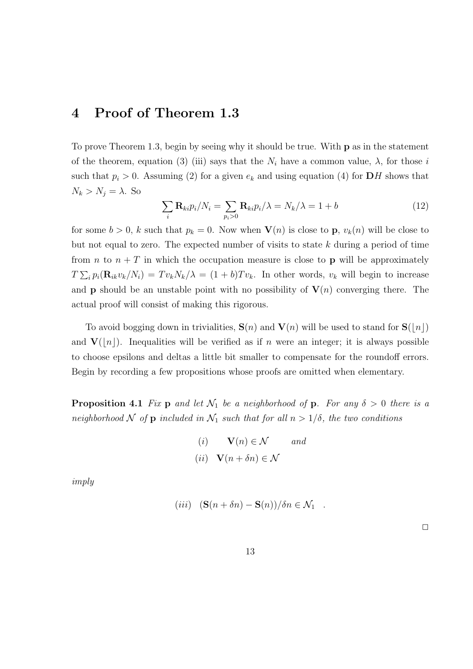## 4 Proof of Theorem 1.3

To prove Theorem 1.3, begin by seeing why it should be true. With p as in the statement of the theorem, equation (3) (iii) says that the  $N_i$  have a common value,  $\lambda$ , for those i such that  $p_i > 0$ . Assuming (2) for a given  $e_k$  and using equation (4) for **DH** shows that  $N_k > N_j = \lambda$ . So

$$
\sum_{i} \mathbf{R}_{ki} p_i / N_i = \sum_{p_i > 0} \mathbf{R}_{ki} p_i / \lambda = N_k / \lambda = 1 + b \tag{12}
$$

for some  $b > 0$ , k such that  $p_k = 0$ . Now when  $\mathbf{V}(n)$  is close to p,  $v_k(n)$  will be close to but not equal to zero. The expected number of visits to state  $k$  during a period of time from *n* to  $n + T$  in which the occupation measure is close to **p** will be approximately  $T \sum_i p_i(\mathbf{R}_{ik}v_k/N_i) = Tv_kN_k/\lambda = (1+b)Tv_k$ . In other words,  $v_k$  will begin to increase and **p** should be an unstable point with no possibility of  $V(n)$  converging there. The actual proof will consist of making this rigorous.

To avoid bogging down in trivialities,  $S(n)$  and  $V(n)$  will be used to stand for  $S(|n|)$ and  $V(|n|)$ . Inequalities will be verified as if n were an integer; it is always possible to choose epsilons and deltas a little bit smaller to compensate for the roundoff errors. Begin by recording a few propositions whose proofs are omitted when elementary.

**Proposition 4.1** Fix p and let  $\mathcal{N}_1$  be a neighborhood of p. For any  $\delta > 0$  there is a neighborhood N of p included in  $\mathcal{N}_1$  such that for all  $n > 1/\delta$ , the two conditions

(i) 
$$
\mathbf{V}(n) \in \mathcal{N}
$$
 and  
(ii)  $\mathbf{V}(n + \delta n) \in \mathcal{N}$ 

imply

$$
(iii) \quad (\mathbf{S}(n+\delta n)-\mathbf{S}(n))/\delta n \in \mathcal{N}_1 \quad .
$$

 $\Box$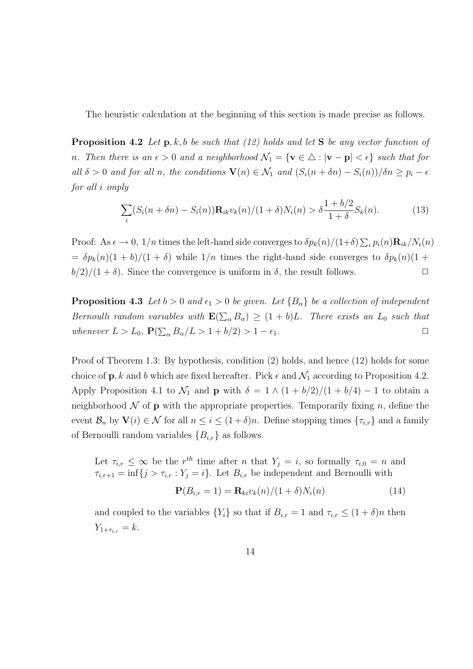The heuristic calculation at the beginning of this section is made precise as follows.

**Proposition 4.2** Let  $p, k, b$  be such that (12) holds and let S be any vector function of n. Then there is an  $\epsilon > 0$  and a neighborhood  $\mathcal{N}_1 = \{ \mathbf{v} \in \Delta : |\mathbf{v} - \mathbf{p}| < \epsilon \}$  such that for all  $\delta > 0$  and for all n, the conditions  $\mathbf{V}(n) \in \mathcal{N}_1$  and  $(S_i(n + \delta n) - S_i(n))/\delta n \geq p_i - \epsilon$ for all i imply

$$
\sum_{i} (S_i(n + \delta n) - S_i(n)) \mathbf{R}_{ik} v_k(n) / (1 + \delta) N_i(n) > \delta \frac{1 + b/2}{1 + \delta} S_k(n).
$$
 (13)

Proof: As  $\epsilon \to 0$ ,  $1/n$  times the left-hand side converges to  $\delta p_k(n)/(1+\delta) \sum_i p_i(n) \mathbf{R}_{ik}/N_i(n)$  $= \delta p_k(n)(1 + b)/(1 + \delta)$  while  $1/n$  times the right-hand side converges to  $\delta p_k(n)(1 + b)$  $b/2)/(1 + \delta)$ . Since the convergence is uniform in  $\delta$ , the result follows.

**Proposition 4.3** Let  $b > 0$  and  $\epsilon_1 > 0$  be given. Let  $\{B_{\alpha}\}\$ be a collection of independent Bernoulli random variables with  $\mathbf{E}(\sum_{\alpha} B_{\alpha}) \geq (1+b)L$ . There exists an  $L_0$  such that whenever  $L > L_0$ ,  $\mathbf{P}(\sum_{\alpha} B_{\alpha}/L > 1 + b/2) > 1 - \epsilon_1$ .

Proof of Theorem 1.3: By hypothesis, condition (2) holds, and hence (12) holds for some choice of  $\mathbf{p}, k$  and b which are fixed hereafter. Pick  $\epsilon$  and  $\mathcal{N}_1$  according to Proposition 4.2. Apply Proposition 4.1 to  $\mathcal{N}_1$  and **p** with  $\delta = 1 \wedge (1 + b/2)/(1 + b/4) - 1$  to obtain a neighborhood  $\mathcal N$  of **p** with the appropriate properties. Temporarily fixing n, define the event  $\mathcal{B}_n$  by  $\mathbf{V}(i) \in \mathcal{N}$  for all  $n \leq i \leq (1+\delta)n$ . Define stopping times  $\{\tau_{i,r}\}\$  and a family of Bernoulli random variables  ${B_{i,r}}$  as follows.

Let  $\tau_{i,r} \leq \infty$  be the r<sup>th</sup> time after n that  $Y_j = i$ , so formally  $\tau_{i,0} = n$  and  $\tau_{i,r+1} = \inf\{j > \tau_{i,r} : Y_j = i\}.$  Let  $B_{i,r}$  be independent and Bernoulli with

$$
\mathbf{P}(B_{i,r}=1) = \mathbf{R}_{ki} v_k(n)/(1+\delta) N_i(n) \tag{14}
$$

and coupled to the variables  $\{Y_i\}$  so that if  $B_{i,r} = 1$  and  $\tau_{i,r} \leq (1+\delta)n$  then  $Y_{1+\tau_{i,r}} = k.$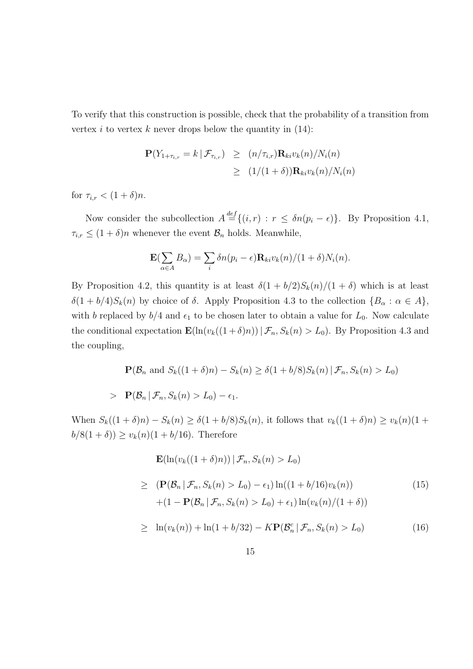To verify that this construction is possible, check that the probability of a transition from vertex i to vertex k never drops below the quantity in  $(14)$ :

$$
\mathbf{P}(Y_{1+\tau_{i,r}} = k | \mathcal{F}_{\tau_{i,r}}) \ge (n/\tau_{i,r}) \mathbf{R}_{ki} v_k(n) / N_i(n)
$$
  
\n
$$
\ge (1/(1+\delta)) \mathbf{R}_{ki} v_k(n) / N_i(n)
$$

for  $\tau_{i,r} < (1+\delta)n$ .

Now consider the subcollection  $A \stackrel{def}{=} \{(i,r) : r \leq \delta n(p_i - \epsilon)\}\.$  By Proposition 4.1,  $\tau_{i,r} \leq (1+\delta)n$  whenever the event  $\mathcal{B}_n$  holds. Meanwhile,

$$
\mathbf{E}(\sum_{\alpha \in A} B_{\alpha}) = \sum_{i} \delta n(p_i - \epsilon) \mathbf{R}_{ki} v_k(n) / (1 + \delta) N_i(n).
$$

By Proposition 4.2, this quantity is at least  $\delta(1 + b/2)S_k(n)/(1 + \delta)$  which is at least  $\delta(1 + b/4)S_k(n)$  by choice of  $\delta$ . Apply Proposition 4.3 to the collection  $\{B_\alpha : \alpha \in A\}$ , with b replaced by  $b/4$  and  $\epsilon_1$  to be chosen later to obtain a value for  $L_0$ . Now calculate the conditional expectation  $\mathbf{E}(\ln(v_k((1+\delta)n)) | \mathcal{F}_n, S_k(n) > L_0)$ . By Proposition 4.3 and the coupling,

$$
\mathbf{P}(\mathcal{B}_n \text{ and } S_k((1+\delta)n) - S_k(n) \ge \delta(1+b/8)S_k(n) | \mathcal{F}_n, S_k(n) > L_0)
$$
  
> 
$$
\mathbf{P}(\mathcal{B}_n | \mathcal{F}_n, S_k(n) > L_0) - \epsilon_1.
$$

When  $S_k((1 + \delta)n) - S_k(n) \ge \delta(1 + b/8)S_k(n)$ , it follows that  $v_k((1 + \delta)n) \ge v_k(n)(1 + b/8)S_k(n)$  $b/8(1 + \delta) \ge v_k(n)(1 + b/16)$ . Therefore

$$
\mathbf{E}(\ln(v_k((1+\delta)n)) | \mathcal{F}_n, S_k(n) > L_0)
$$
\n
$$
\geq (\mathbf{P}(\mathcal{B}_n | \mathcal{F}_n, S_k(n) > L_0) - \epsilon_1) \ln((1+b/16)v_k(n))
$$
\n
$$
+(1 - \mathbf{P}(\mathcal{B}_n | \mathcal{F}_n, S_k(n) > L_0) + \epsilon_1) \ln(v_k(n)/(1+\delta))
$$
\n(15)

$$
\geq \ln(v_k(n)) + \ln(1 + b/32) - K\mathbf{P}(\mathcal{B}_n^c \,|\, \mathcal{F}_n, S_k(n) > L_0) \tag{16}
$$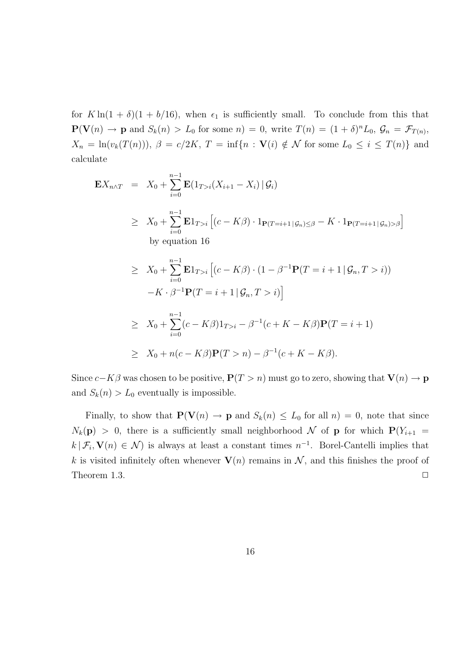for  $K \ln(1 + \delta)(1 + b/16)$ , when  $\epsilon_1$  is sufficiently small. To conclude from this that  $\mathbf{P}(\mathbf{V}(n) \to \mathbf{p} \text{ and } S_k(n) > L_0 \text{ for some } n) = 0, \text{ write } T(n) = (1 + \delta)^n L_0, \mathcal{G}_n = \mathcal{F}_{T(n)},$  $X_n = \ln(v_k(T(n))), \ \beta = c/2K, \ T = \inf\{n : \mathbf{V}(i) \notin \mathcal{N} \text{ for some } L_0 \leq i \leq T(n)\}\$ and calculate

$$
\mathbf{E}X_{n\wedge T} = X_0 + \sum_{i=0}^{n-1} \mathbf{E}(1_{T>i}(X_{i+1} - X_i) | \mathcal{G}_i)
$$
  
\n
$$
\geq X_0 + \sum_{i=0}^{n-1} \mathbf{E}1_{T>i} [(c - K\beta) \cdot 1_{\mathbf{P}(T=i+1 | \mathcal{G}_n) \leq \beta} - K \cdot 1_{\mathbf{P}(T=i+1 | \mathcal{G}_n) > \beta}]
$$
  
\nby equation 16  
\n
$$
\geq X_0 + \sum_{i=0}^{n-1} \mathbf{E}1_{T>i} [(c - K\beta) \cdot (1 - \beta^{-1} \mathbf{P}(T=i+1 | \mathcal{G}_n, T > i))
$$
  
\n
$$
-K \cdot \beta^{-1} \mathbf{P}(T=i+1 | \mathcal{G}_n, T > i)]
$$
  
\n
$$
\geq X_0 + \sum_{i=0}^{n-1} (c - K\beta) 1_{T>i} - \beta^{-1} (c + K - K\beta) \mathbf{P}(T=i+1)
$$
  
\n
$$
\geq X_0 + n(c - K\beta) \mathbf{P}(T > n) - \beta^{-1} (c + K - K\beta).
$$

Since  $c-K\beta$  was chosen to be positive,  $P(T > n)$  must go to zero, showing that  $V(n) \rightarrow p$ and  $S_k(n) > L_0$  eventually is impossible.

Finally, to show that  $P(V(n) \to p$  and  $S_k(n) \leq L_0$  for all  $n) = 0$ , note that since  $N_k(\mathbf{p}) > 0$ , there is a sufficiently small neighborhood N of **p** for which  $\mathbf{P}(Y_{i+1}) =$  $k | \mathcal{F}_i, \mathbf{V}(n) \in \mathcal{N}$  is always at least a constant times  $n^{-1}$ . Borel-Cantelli implies that k is visited infinitely often whenever  $\mathbf{V}(n)$  remains in  $\mathcal{N}$ , and this finishes the proof of Theorem 1.3.  $\Box$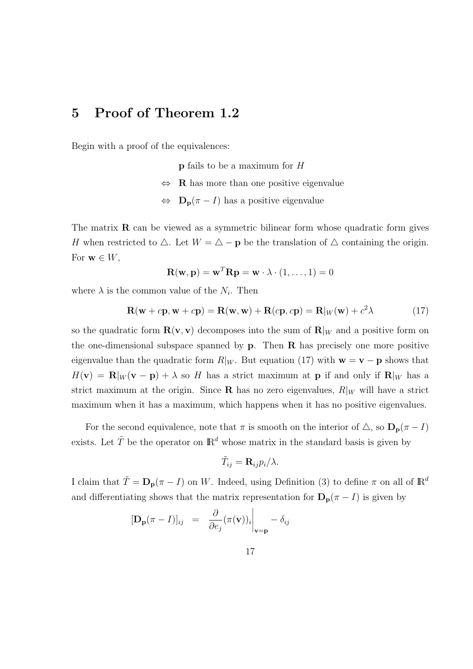## 5 Proof of Theorem 1.2

Begin with a proof of the equivalences:

p fails to be a maximum for H

- $\Leftrightarrow$  **R** has more than one positive eigenvalue
- $\Leftrightarrow$   $\mathbf{D}_{\mathbf{p}}(\pi I)$  has a positive eigenvalue

The matrix  $\bf{R}$  can be viewed as a symmetric bilinear form whose quadratic form gives H when restricted to  $\Delta$ . Let  $W = \Delta - \mathbf{p}$  be the translation of  $\Delta$  containing the origin. For  $\mathbf{w} \in W$ ,

$$
\mathbf{R}(\mathbf{w}, \mathbf{p}) = \mathbf{w}^T \mathbf{R} \mathbf{p} = \mathbf{w} \cdot \lambda \cdot (1, \dots, 1) = 0
$$

where  $\lambda$  is the common value of the  $N_i$ . Then

$$
\mathbf{R}(\mathbf{w} + c\mathbf{p}, \mathbf{w} + c\mathbf{p}) = \mathbf{R}(\mathbf{w}, \mathbf{w}) + \mathbf{R}(c\mathbf{p}, c\mathbf{p}) = \mathbf{R}|_{W}(\mathbf{w}) + c^2\lambda
$$
 (17)

so the quadratic form  $\mathbf{R}(\mathbf{v}, \mathbf{v})$  decomposes into the sum of  $\mathbf{R}|_W$  and a positive form on the one-dimensional subspace spanned by  $p$ . Then  $R$  has precisely one more positive eigenvalue than the quadratic form  $R|_W$ . But equation (17) with  $w = v - p$  shows that  $H(\mathbf{v}) = \mathbf{R}|_W(\mathbf{v} - \mathbf{p}) + \lambda$  so H has a strict maximum at p if and only if  $\mathbf{R}|_W$  has a strict maximum at the origin. Since **R** has no zero eigenvalues,  $R|_W$  will have a strict maximum when it has a maximum, which happens when it has no positive eigenvalues.

For the second equivalence, note that  $\pi$  is smooth on the interior of  $\Delta$ , so  $\mathbf{D}_{\mathbf{p}}(\pi - I)$ exists. Let  $\tilde{T}$  be the operator on  $\mathbb{R}^d$  whose matrix in the standard basis is given by

$$
\tilde{T}_{ij} = \mathbf{R}_{ij} p_i / \lambda.
$$

I claim that  $\tilde{T} = \mathbf{D}_{\mathbf{p}}(\pi - I)$  on W. Indeed, using Definition (3) to define  $\pi$  on all of  $\mathbb{R}^d$ and differentiating shows that the matrix representation for  $D_p(\pi - I)$  is given by

$$
[\mathbf{D}_{\mathbf{p}}(\pi - I)]_{ij} = \frac{\partial}{\partial e_j}(\pi(\mathbf{v}))_i \bigg|_{\mathbf{v} = \mathbf{p}} - \delta_{ij}
$$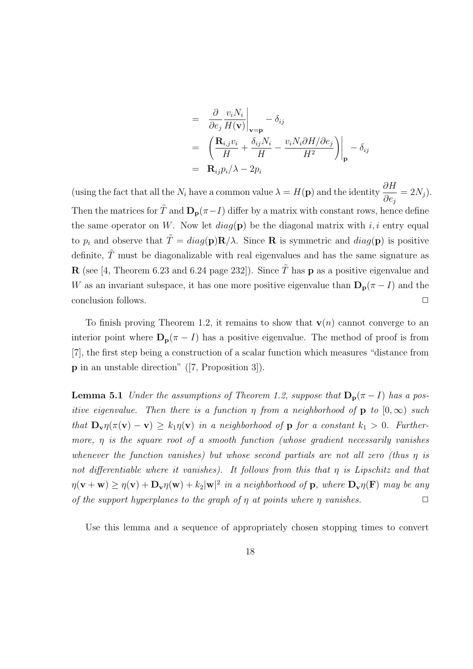$$
= \frac{\partial}{\partial e_j} \frac{v_i N_i}{H(\mathbf{v})}\Big|_{\mathbf{v}=\mathbf{p}} - \delta_{ij}
$$
  
=  $\left(\frac{\mathbf{R}_{i,j} v_i}{H} + \frac{\delta_{ij} N_i}{H} - \frac{v_i N_i \partial H/\partial e_j}{H^2}\right)\Big|_{\mathbf{p}} - \delta_{ij}$   
=  $\mathbf{R}_{ij} p_i / \lambda - 2p_i$ 

(using the fact that all the  $N_i$  have a common value  $\lambda = H(\mathbf{p})$  and the identity  $\frac{\partial H}{\partial \lambda}$ ∂e<sup>j</sup>  $= 2N_j$ . Then the matrices for  $\tilde{T}$  and  $\mathbf{D}_{\mathbf{p}}(\pi - I)$  differ by a matrix with constant rows, hence define the same operator on W. Now let  $diag(\mathbf{p})$  be the diagonal matrix with i, i entry equal to  $p_i$  and observe that  $\tilde{T} = diag(\mathbf{p})\mathbf{R}/\lambda$ . Since **R** is symmetric and  $diag(\mathbf{p})$  is positive definite,  $\tilde{T}$  must be diagonalizable with real eigenvalues and has the same signature as **R** (see [4, Theorem 6.23 and 6.24 page 232]). Since  $\tilde{T}$  has **p** as a positive eigenvalue and W as an invariant subspace, it has one more positive eigenvalue than  $\mathbf{D}_{p}(\pi - I)$  and the conclusion follows.

To finish proving Theorem 1.2, it remains to show that  $\mathbf{v}(n)$  cannot converge to an interior point where  $D_p(\pi - I)$  has a positive eigenvalue. The method of proof is from [7], the first step being a construction of a scalar function which measures "distance from p in an unstable direction" ([7, Proposition 3]).

**Lemma 5.1** Under the assumptions of Theorem 1.2, suppose that  $D_p(\pi - I)$  has a positive eigenvalue. Then there is a function  $\eta$  from a neighborhood of **p** to  $[0,\infty)$  such that  $\mathbf{D}_{\mathbf{v}}\eta(\pi(\mathbf{v}) - \mathbf{v}) \ge k_1\eta(\mathbf{v})$  in a neighborhood of p for a constant  $k_1 > 0$ . Furthermore, η is the square root of a smooth function (whose gradient necessarily vanishes whenever the function vanishes) but whose second partials are not all zero (thus  $\eta$  is not differentiable where it vanishes). It follows from this that  $\eta$  is Lipschitz and that  $\eta(\mathbf{v}+\mathbf{w}) \geq \eta(\mathbf{v}) + \mathbf{D}_{\mathbf{v}}\eta(\mathbf{w}) + k_2|\mathbf{w}|^2$  in a neighborhood of  $\mathbf{p}$ , where  $\mathbf{D}_{\mathbf{v}}\eta(\mathbf{F})$  may be any of the support hyperplanes to the graph of  $\eta$  at points where  $\eta$  vanishes.

Use this lemma and a sequence of appropriately chosen stopping times to convert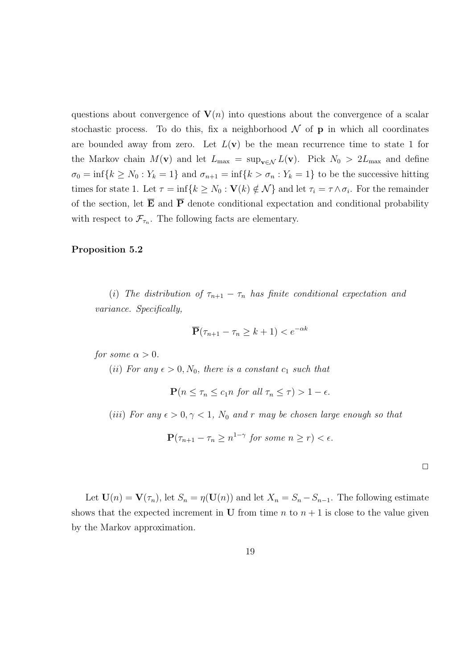questions about convergence of  $V(n)$  into questions about the convergence of a scalar stochastic process. To do this, fix a neighborhood  $\mathcal N$  of **p** in which all coordinates are bounded away from zero. Let  $L(\mathbf{v})$  be the mean recurrence time to state 1 for the Markov chain  $M(\mathbf{v})$  and let  $L_{\text{max}} = \sup_{\mathbf{v} \in \mathcal{N}} L(\mathbf{v})$ . Pick  $N_0 > 2L_{\text{max}}$  and define  $\sigma_0 = \inf\{k \geq N_0 : Y_k = 1\}$  and  $\sigma_{n+1} = \inf\{k > \sigma_n : Y_k = 1\}$  to be the successive hitting times for state 1. Let  $\tau = \inf\{k \geq N_0 : \mathbf{V}(k) \notin \mathcal{N}\}\$ and let  $\tau_i = \tau \wedge \sigma_i$ . For the remainder of the section, let  $\overline{E}$  and  $\overline{P}$  denote conditional expectation and conditional probability with respect to  $\mathcal{F}_{\tau_n}$ . The following facts are elementary.

#### Proposition 5.2

(i) The distribution of  $\tau_{n+1} - \tau_n$  has finite conditional expectation and variance. Specifically,

$$
\overline{\mathbf{P}}(\tau_{n+1} - \tau_n \ge k+1) < e^{-\alpha k}
$$

for some  $\alpha > 0$ .

(ii) For any  $\epsilon > 0$ ,  $N_0$ , there is a constant  $c_1$  such that

$$
\mathbf{P}(n \le \tau_n \le c_1 n \text{ for all } \tau_n \le \tau) > 1 - \epsilon.
$$

(iii) For any  $\epsilon > 0, \gamma < 1$ , N<sub>0</sub> and r may be chosen large enough so that

$$
\mathbf{P}(\tau_{n+1} - \tau_n \ge n^{1-\gamma} \text{ for some } n \ge r) < \epsilon.
$$

Let  $U(n) = V(\tau_n)$ , let  $S_n = \eta(U(n))$  and let  $X_n = S_n - S_{n-1}$ . The following estimate shows that the expected increment in U from time n to  $n + 1$  is close to the value given by the Markov approximation.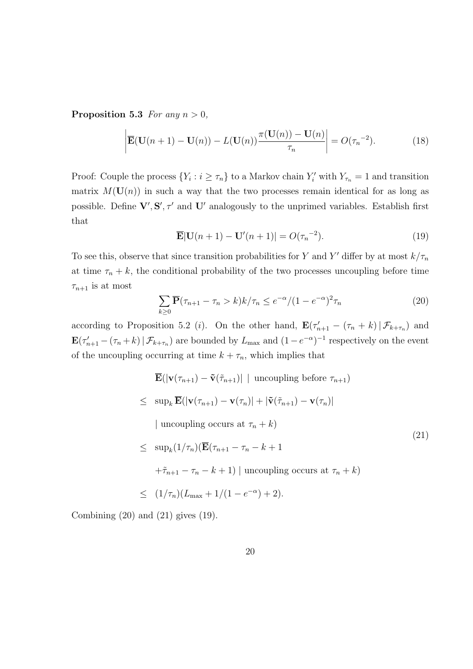Proposition 5.3 For any  $n > 0$ ,

$$
\left| \overline{\mathbf{E}}(\mathbf{U}(n+1) - \mathbf{U}(n)) - L(\mathbf{U}(n)) \frac{\pi(\mathbf{U}(n)) - \mathbf{U}(n)}{\tau_n} \right| = O(\tau_n^{-2}). \tag{18}
$$

Proof: Couple the process  $\{Y_i : i \geq \tau_n\}$  to a Markov chain  $Y'_i$  with  $Y_{\tau_n} = 1$  and transition matrix  $M(U(n))$  in such a way that the two processes remain identical for as long as possible. Define  $V', S', \tau'$  and  $U'$  analogously to the unprimed variables. Establish first that

$$
\overline{\mathbf{E}}|\mathbf{U}(n+1)-\mathbf{U}'(n+1)|=O(\tau_n^{-2}).\tag{19}
$$

To see this, observe that since transition probabilities for Y and Y' differ by at most  $k/\tau_n$ at time  $\tau_n + k$ , the conditional probability of the two processes uncoupling before time  $\tau_{n+1}$  is at most

$$
\sum_{k\geq 0} \overline{\mathbf{P}}(\tau_{n+1} - \tau_n > k) k / \tau_n \leq e^{-\alpha} / (1 - e^{-\alpha})^2 \tau_n \tag{20}
$$

(21)

according to Proposition 5.2 (*i*). On the other hand,  $\mathbf{E}(\tau'_{n+1} - (\tau_n + k) | \mathcal{F}_{k+\tau_n})$  and  $\mathbf{E}(\tau'_{n+1} - (\tau_n + k) | \mathcal{F}_{k+\tau_n})$  are bounded by  $L_{\text{max}}$  and  $(1 - e^{-\alpha})^{-1}$  respectively on the event of the uncoupling occurring at time  $k + \tau_n$ , which implies that

> $\overline{\mathbf{E}}(|\mathbf{v}(\tau_{n+1}) - \tilde{\mathbf{v}}(\tilde{\tau}_{n+1})|$  | uncoupling before  $\tau_{n+1}$ )  $\leq$  sup<sub>k</sub>  $\overline{\mathbf{E}}(|\mathbf{v}(\tau_{n+1}) - \mathbf{v}(\tau_n)| + |\tilde{\mathbf{v}}(\tilde{\tau}_{n+1}) - \mathbf{v}(\tau_n)|$ | uncoupling occurs at  $\tau_n + k$ )  $\leq \sup_k(1/\tau_n)(\overline{\mathbf{E}}(\tau_{n+1}-\tau_n-k+1))$

 $+ \tilde{\tau}_{n+1} - \tau_n - k + 1$ ) | uncoupling occurs at  $\tau_n + k$ )

$$
\leq (1/\tau_n)(L_{\max} + 1/(1 - e^{-\alpha}) + 2).
$$

Combining  $(20)$  and  $(21)$  gives  $(19)$ .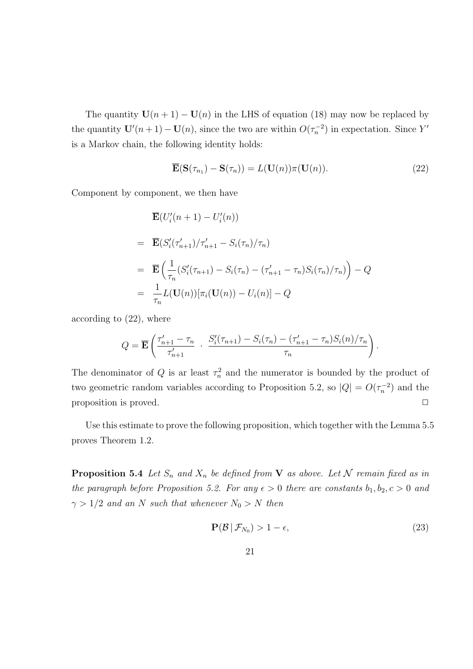The quantity  $U(n + 1) - U(n)$  in the LHS of equation (18) may now be replaced by the quantity  $\mathbf{U}'(n+1) - \mathbf{U}(n)$ , since the two are within  $O(\tau_n^{-2})$  in expectation. Since Y' is a Markov chain, the following identity holds:

$$
\overline{\mathbf{E}}(\mathbf{S}(\tau_{n_1}) - \mathbf{S}(\tau_n)) = L(\mathbf{U}(n))\pi(\mathbf{U}(n)).
$$
\n(22)

Component by component, we then have

$$
\begin{aligned}\n&\overline{\mathbf{E}}(U_i'(n+1) - U_i'(n)) \\
&= \overline{\mathbf{E}}(S_i'(\tau_{n+1}')/\tau_{n+1}' - S_i(\tau_n)/\tau_n) \\
&= \overline{\mathbf{E}}\left(\frac{1}{\tau_n}(S_i'(\tau_{n+1}) - S_i(\tau_n) - (\tau_{n+1}' - \tau_n)S_i(\tau_n)/\tau_n)\right) - Q \\
&= \frac{1}{\tau_n}L(\mathbf{U}(n))[\pi_i(\mathbf{U}(n)) - U_i(n)] - Q\n\end{aligned}
$$

according to (22), where

$$
Q = \overline{\mathbf{E}} \left( \frac{\tau_{n+1}' - \tau_n}{\tau_{n+1}'} \cdot \frac{S_i'(\tau_{n+1}) - S_i(\tau_n) - (\tau_{n+1}' - \tau_n)S_i(n)/\tau_n}{\tau_n} \right).
$$

The denominator of Q is ar least  $\tau_n^2$  and the numerator is bounded by the product of two geometric random variables according to Proposition 5.2, so  $|Q| = O(\tau_n^{-2})$  and the proposition is proved.  $\Box$ 

Use this estimate to prove the following proposition, which together with the Lemma 5.5 proves Theorem 1.2.

**Proposition 5.4** Let  $S_n$  and  $X_n$  be defined from **V** as above. Let N remain fixed as in the paragraph before Proposition 5.2. For any  $\epsilon > 0$  there are constants  $b_1, b_2, c > 0$  and  $\gamma > 1/2$  and an N such that whenever  $N_0 > N$  then

$$
\mathbf{P}(\mathcal{B} \mid \mathcal{F}_{N_0}) > 1 - \epsilon,\tag{23}
$$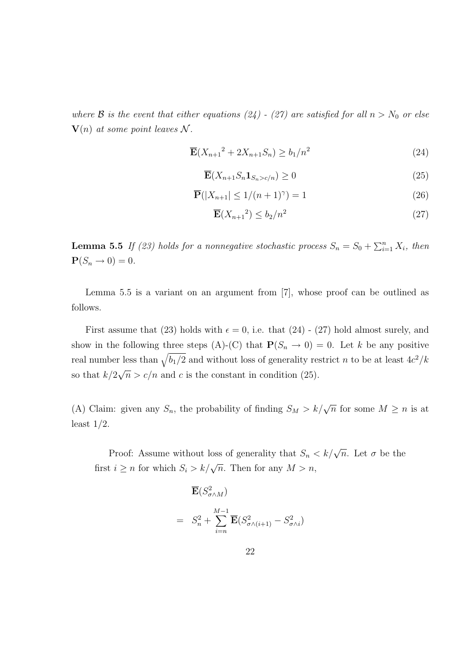where  $\mathcal B$  is the event that either equations (24) - (27) are satisfied for all  $n > N_0$  or else  $\mathbf{V}(n)$  at some point leaves N.

$$
\overline{\mathbf{E}}(X_{n+1}^2 + 2X_{n+1}S_n) \ge b_1/n^2 \tag{24}
$$

$$
\overline{\mathbf{E}}(X_{n+1}S_n \mathbf{1}_{S_n > c/n}) \ge 0
$$
\n(25)

$$
\overline{\mathbf{P}}(|X_{n+1}| \le 1/(n+1)^{\gamma}) = 1\tag{26}
$$

$$
\overline{\mathbf{E}}(X_{n+1}^2) \le b_2/n^2 \tag{27}
$$

**Lemma 5.5** If (23) holds for a nonnegative stochastic process  $S_n = S_0 + \sum_{i=1}^n X_i$ , then  $\mathbf{P}(S_n \to 0) = 0.$ 

Lemma 5.5 is a variant on an argument from [7], whose proof can be outlined as follows.

First assume that (23) holds with  $\epsilon = 0$ , i.e. that (24) - (27) hold almost surely, and show in the following three steps (A)-(C) that  $P(S_n \to 0) = 0$ . Let k be any positive real number less than  $\sqrt{b_1/2}$  and without loss of generality restrict n to be at least  $4c^2/k$ so that  $k/2\sqrt{n} > c/n$  and c is the constant in condition (25).

(A) Claim: given any  $S_n$ , the probability of finding  $S_M > k/\sqrt{n}$  for some  $M \ge n$  is at least  $1/2$ .

Proof: Assume without loss of generality that  $S_n < k/\sqrt{n}$ . Let  $\sigma$  be the first  $i \geq n$  for which  $S_i > k/\sqrt{n}$ . Then for any  $M > n$ ,

$$
\overline{\mathbf{E}}(S_{\sigma \wedge M}^2)
$$
\n
$$
= S_n^2 + \sum_{i=n}^{M-1} \overline{\mathbf{E}}(S_{\sigma \wedge (i+1)}^2 - S_{\sigma \wedge i}^2)
$$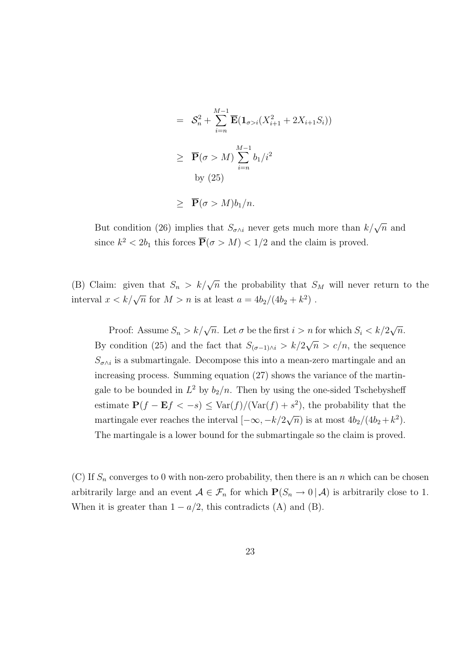$$
= S_n^2 + \sum_{i=n}^{M-1} \overline{\mathbf{E}} (\mathbf{1}_{\sigma > i} (X_{i+1}^2 + 2X_{i+1} S_i))
$$
  
\n
$$
\geq \overline{\mathbf{P}}(\sigma > M) \sum_{i=n}^{M-1} b_1/i^2
$$
  
\nby (25)  
\n
$$
\geq \overline{\mathbf{P}}(\sigma > M) b_1/n.
$$

But condition (26) implies that  $S_{\sigma \wedge i}$  never gets much more than  $k/\sqrt{n}$  and since  $k^2 < 2b_1$  this forces  $\overline{P}(\sigma > M) < 1/2$  and the claim is proved.

(B) Claim: given that  $S_n > k/\sqrt{n}$  the probability that  $S_M$  will never return to the interval  $x < k/\sqrt{n}$  for  $M > n$  is at least  $a = 4b_2/(4b_2 + k^2)$ .

Proof: Assume  $S_n > k/\sqrt{n}$ . Let  $\sigma$  be the first  $i > n$  for which  $S_i < k/2$ *n* for which  $S_i < k/2\sqrt{n}$ . By condition (25) and the fact that  $S_{(\sigma-1)\wedge i} > k/2\sqrt{n} > c/n$ , the sequence  $S_{\sigma \wedge i}$  is a submartingale. Decompose this into a mean-zero martingale and an increasing process. Summing equation (27) shows the variance of the martingale to be bounded in  $L^2$  by  $b_2/n$ . Then by using the one-sided Tschebysheff estimate  $P(f - Ef < -s) \leq Var(f)/(Var(f) + s^2)$ , the probability that the martingale ever reaches the interval  $[-\infty, -k/2\sqrt{n}]$  is at most  $4b_2/(4b_2+k^2)$ . The martingale is a lower bound for the submartingale so the claim is proved.

(C) If  $S_n$  converges to 0 with non-zero probability, then there is an n which can be chosen arbitrarily large and an event  $A \in \mathcal{F}_n$  for which  $P(S_n \to 0 | A)$  is arbitrarily close to 1. When it is greater than  $1 - a/2$ , this contradicts (A) and (B).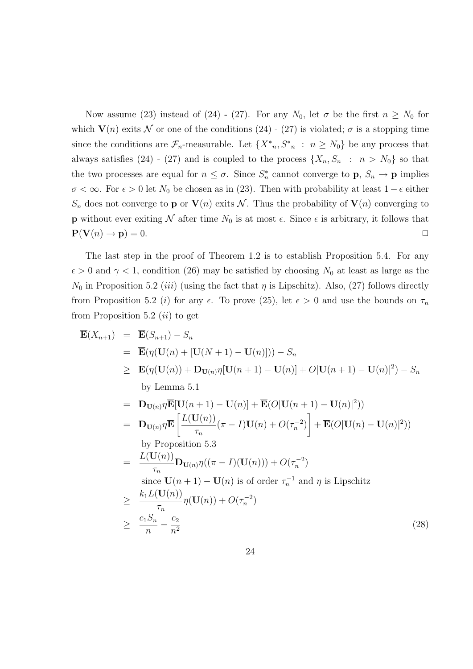Now assume (23) instead of (24) - (27). For any  $N_0$ , let  $\sigma$  be the first  $n \geq N_0$  for which  $V(n)$  exits N or one of the conditions (24) - (27) is violated;  $\sigma$  is a stopping time since the conditions are  $\mathcal{F}_n$ -measurable. Let  $\{X^*, S^*, : n \geq N_0\}$  be any process that always satisfies (24) - (27) and is coupled to the process  $\{X_n, S_n : n > N_0\}$  so that the two processes are equal for  $n \leq \sigma$ . Since  $S_n^*$ <sup>\*</sup><sub>n</sub> cannot converge to **p**,  $S_n \to \mathbf{p}$  implies  $\sigma < \infty$ . For  $\epsilon > 0$  let  $N_0$  be chosen as in (23). Then with probability at least  $1 - \epsilon$  either  $S_n$  does not converge to **p** or  $V(n)$  exits N. Thus the probability of  $V(n)$  converging to **p** without ever exiting N after time  $N_0$  is at most  $\epsilon$ . Since  $\epsilon$  is arbitrary, it follows that  $P(V(n) \rightarrow p) = 0.$ 

The last step in the proof of Theorem 1.2 is to establish Proposition 5.4. For any  $\epsilon > 0$  and  $\gamma < 1$ , condition (26) may be satisfied by choosing N<sub>0</sub> at least as large as the  $N_0$  in Proposition 5.2 *(iii)* (using the fact that  $\eta$  is Lipschitz). Also, (27) follows directly from Proposition 5.2 (i) for any  $\epsilon$ . To prove (25), let  $\epsilon > 0$  and use the bounds on  $\tau_n$ from Proposition 5.2  $(ii)$  to get

$$
\overline{\mathbf{E}}(X_{n+1}) = \overline{\mathbf{E}}(S_{n+1}) - S_n
$$
\n
$$
= \overline{\mathbf{E}}(\eta(\mathbf{U}(n) + [\mathbf{U}(N+1) - \mathbf{U}(n)])) - S_n
$$
\n
$$
\geq \overline{\mathbf{E}}(\eta(\mathbf{U}(n)) + \mathbf{D}_{\mathbf{U}(n)}\eta[\mathbf{U}(n+1) - \mathbf{U}(n)] + O|\mathbf{U}(n+1) - \mathbf{U}(n)|^2) - S_n
$$
\nby Lemma 5.1\n
$$
= \mathbf{D}_{\mathbf{U}(n)}\eta\overline{\mathbf{E}}[\mathbf{U}(n+1) - \mathbf{U}(n)] + \overline{\mathbf{E}}(O|\mathbf{U}(n+1) - \mathbf{U}(n)|^2))
$$
\n
$$
= \mathbf{D}_{\mathbf{U}(n)}\eta\overline{\mathbf{E}}\left[\frac{L(\mathbf{U}(n))}{\tau_n}(\pi - I)\mathbf{U}(n) + O(\tau_n^{-2})\right] + \overline{\mathbf{E}}(O|\mathbf{U}(n) - \mathbf{U}(n)|^2))
$$
\nby Proposition 5.3\n
$$
= \frac{L(\mathbf{U}(n))}{\tau_n}\mathbf{D}_{\mathbf{U}(n)}\eta((\pi - I)(\mathbf{U}(n))) + O(\tau_n^{-2})
$$
\nsince  $\mathbf{U}(n+1) - \mathbf{U}(n)$  is of order  $\tau_n^{-1}$  and  $\eta$  is Lipschitz\n
$$
\geq \frac{k_1L(\mathbf{U}(n))}{\tau_n}\eta(\mathbf{U}(n)) + O(\tau_n^{-2})
$$
\n
$$
\geq \frac{c_1S_n}{n} - \frac{c_2}{n^2}
$$
\n(28)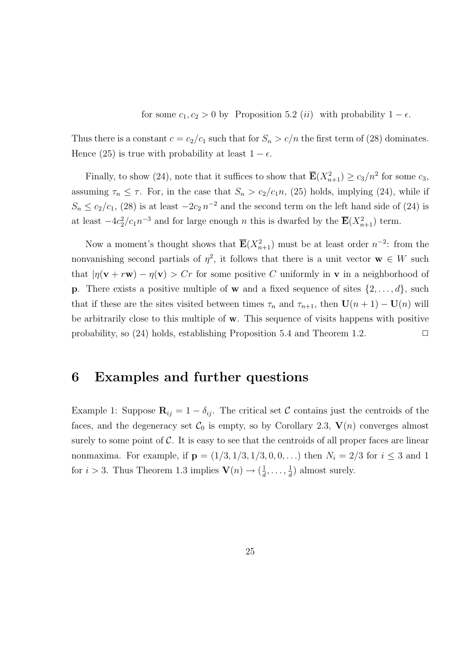for some  $c_1, c_2 > 0$  by Proposition 5.2 (ii) with probability  $1 - \epsilon$ .

Thus there is a constant  $c = c_2/c_1$  such that for  $S_n > c/n$  the first term of (28) dominates. Hence (25) is true with probability at least  $1 - \epsilon$ .

Finally, to show (24), note that it suffices to show that  $\overline{E}(X_{n+1}^2) \ge c_3/n^2$  for some  $c_3$ , assuming  $\tau_n \leq \tau$ . For, in the case that  $S_n > c_2/c_1n$ , (25) holds, implying (24), while if  $S_n \leq c_2/c_1$ , (28) is at least  $-2c_2 n^{-2}$  and the second term on the left hand side of (24) is at least  $-4c_2^2/c_1n^{-3}$  and for large enough n this is dwarfed by the  $\overline{\mathbf{E}}(X_{n+1}^2)$  term.

Now a moment's thought shows that  $\overline{\mathbf{E}}(X_{n+1}^2)$  must be at least order  $n^{-2}$ : from the nonvanishing second partials of  $\eta^2$ , it follows that there is a unit vector  $\mathbf{w} \in W$  such that  $|\eta(\mathbf{v} + r\mathbf{w}) - \eta(\mathbf{v})| > Cr$  for some positive C uniformly in **v** in a neighborhood of **p**. There exists a positive multiple of **w** and a fixed sequence of sites  $\{2, \ldots, d\}$ , such that if these are the sites visited between times  $\tau_n$  and  $\tau_{n+1}$ , then  $\mathbf{U}(n+1) - \mathbf{U}(n)$  will be arbitrarily close to this multiple of  $\bf{w}$ . This sequence of visits happens with positive probability, so  $(24)$  holds, establishing Proposition 5.4 and Theorem 1.2.

#### 6 Examples and further questions

Example 1: Suppose  $\mathbf{R}_{ij} = 1 - \delta_{ij}$ . The critical set C contains just the centroids of the faces, and the degeneracy set  $\mathcal{C}_0$  is empty, so by Corollary 2.3,  $\mathbf{V}(n)$  converges almost surely to some point of  $\mathcal C$ . It is easy to see that the centroids of all proper faces are linear nonmaxima. For example, if  $p = (1/3, 1/3, 1/3, 0, 0, ...)$  then  $N_i = 2/3$  for  $i \leq 3$  and 1 for  $i > 3$ . Thus Theorem 1.3 implies  $\mathbf{V}(n) \rightarrow (\frac{1}{d})$  $\frac{1}{d}, \ldots, \frac{1}{d}$  $\frac{1}{d}$ ) almost surely.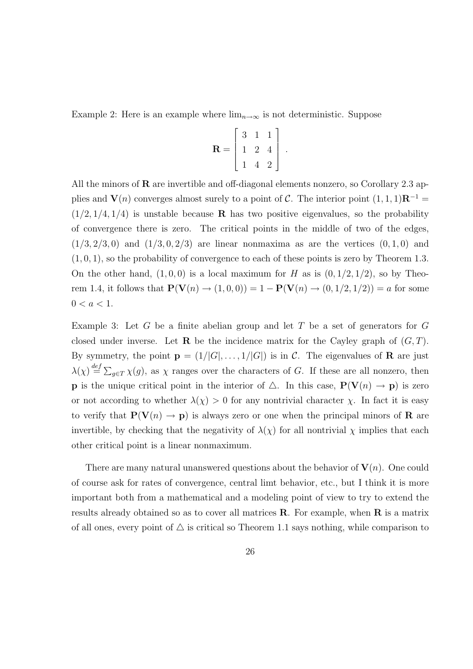Example 2: Here is an example where  $\lim_{n\to\infty}$  is not deterministic. Suppose

$$
\mathbf{R} = \left[ \begin{array}{rrr} 3 & 1 & 1 \\ 1 & 2 & 4 \\ 1 & 4 & 2 \end{array} \right]
$$

.

All the minors of  **are invertible and off-diagonal elements nonzero, so Corollary 2.3 ap**plies and  $V(n)$  converges almost surely to a point of C. The interior point  $(1, 1, 1)R^{-1} =$  $(1/2, 1/4, 1/4)$  is unstable because **R** has two positive eigenvalues, so the probability of convergence there is zero. The critical points in the middle of two of the edges,  $(1/3, 2/3, 0)$  and  $(1/3, 0, 2/3)$  are linear nonmaxima as are the vertices  $(0, 1, 0)$  and  $(1, 0, 1)$ , so the probability of convergence to each of these points is zero by Theorem 1.3. On the other hand,  $(1, 0, 0)$  is a local maximum for H as is  $(0, 1/2, 1/2)$ , so by Theorem 1.4, it follows that  $P(V(n) \to (1, 0, 0)) = 1 - P(V(n) \to (0, 1/2, 1/2)) = a$  for some  $0 < a < 1$ .

Example 3: Let G be a finite abelian group and let T be a set of generators for  $G$ closed under inverse. Let **R** be the incidence matrix for the Cayley graph of  $(G, T)$ . By symmetry, the point  $\mathbf{p} = (1/|G|, \ldots, 1/|G|)$  is in C. The eigenvalues of **R** are just  $\lambda(\chi) \stackrel{def}{=} \sum_{g \in T} \chi(g)$ , as  $\chi$  ranges over the characters of G. If these are all nonzero, then **p** is the unique critical point in the interior of  $\Delta$ . In this case,  $P(V(n) \rightarrow p)$  is zero or not according to whether  $\lambda(\chi) > 0$  for any nontrivial character  $\chi$ . In fact it is easy to verify that  $P(V(n) \to p)$  is always zero or one when the principal minors of **R** are invertible, by checking that the negativity of  $\lambda(\chi)$  for all nontrivial  $\chi$  implies that each other critical point is a linear nonmaximum.

There are many natural unanswered questions about the behavior of  $V(n)$ . One could of course ask for rates of convergence, central limt behavior, etc., but I think it is more important both from a mathematical and a modeling point of view to try to extend the results already obtained so as to cover all matrices  $\bf R$ . For example, when  $\bf R$  is a matrix of all ones, every point of  $\triangle$  is critical so Theorem 1.1 says nothing, while comparison to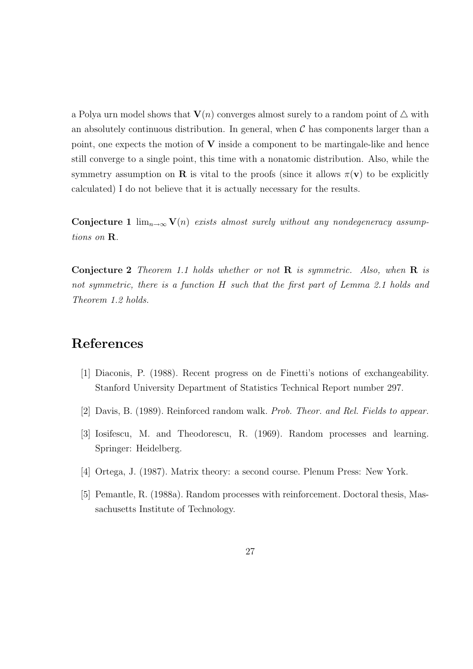a Polya urn model shows that  $V(n)$  converges almost surely to a random point of  $\Delta$  with an absolutely continuous distribution. In general, when  $\mathcal C$  has components larger than a point, one expects the motion of  $V$  inside a component to be martingale-like and hence still converge to a single point, this time with a nonatomic distribution. Also, while the symmetry assumption on **R** is vital to the proofs (since it allows  $\pi(\mathbf{v})$  to be explicitly calculated) I do not believe that it is actually necessary for the results.

Conjecture 1  $\lim_{n\to\infty} V(n)$  exists almost surely without any nondegeneracy assumptions on R.

**Conjecture 2** Theorem 1.1 holds whether or not  $\bf{R}$  is symmetric. Also, when  $\bf{R}$  is not symmetric, there is a function H such that the first part of Lemma 2.1 holds and Theorem 1.2 holds.

### References

- [1] Diaconis, P. (1988). Recent progress on de Finetti's notions of exchangeability. Stanford University Department of Statistics Technical Report number 297.
- [2] Davis, B. (1989). Reinforced random walk. Prob. Theor. and Rel. Fields to appear.
- [3] Iosifescu, M. and Theodorescu, R. (1969). Random processes and learning. Springer: Heidelberg.
- [4] Ortega, J. (1987). Matrix theory: a second course. Plenum Press: New York.
- [5] Pemantle, R. (1988a). Random processes with reinforcement. Doctoral thesis, Massachusetts Institute of Technology.